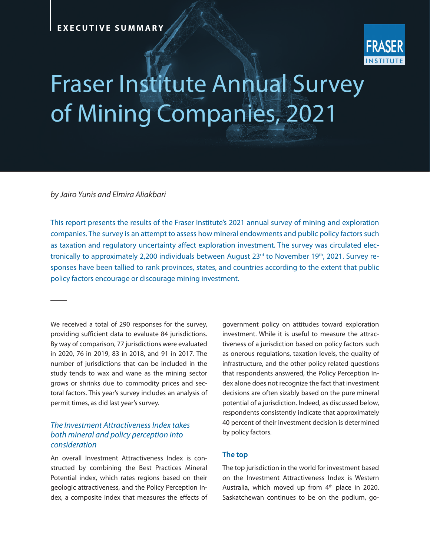

# Fraser Institute Annual Survey of Mining Companies, 2021

*by Jairo Yunis and Elmira Aliakbari*

This report presents the results of the Fraser Institute's 2021 annual survey of mining and exploration companies. The survey is an attempt to assess how mineral endowments and public policy factors such as taxation and regulatory uncertainty affect exploration investment. The survey was circulated electronically to approximately 2,200 individuals between August 23<sup>rd</sup> to November 19<sup>th</sup>, 2021. Survey responses have been tallied to rank provinces, states, and countries according to the extent that public policy factors encourage or discourage mining investment.

We received a total of 290 responses for the survey, providing sufficient data to evaluate 84 jurisdictions. By way of comparison, 77 jurisdictions were evaluated in 2020, 76 in 2019, 83 in 2018, and 91 in 2017. The number of jurisdictions that can be included in the study tends to wax and wane as the mining sector grows or shrinks due to commodity prices and sectoral factors. This year's survey includes an analysis of permit times, as did last year's survey.

# *The Investment Attractiveness Index takes both mineral and policy perception into consideration*

An overall Investment Attractiveness Index is constructed by combining the Best Practices Mineral Potential index, which rates regions based on their geologic attractiveness, and the Policy Perception Index, a composite index that measures the effects of government policy on attitudes toward exploration investment. While it is useful to measure the attractiveness of a jurisdiction based on policy factors such as onerous regulations, taxation levels, the quality of infrastructure, and the other policy related questions that respondents answered, the Policy Perception Index alone does not recognize the fact that investment decisions are often sizably based on the pure mineral potential of a jurisdiction. Indeed, as discussed below, respondents consistently indicate that approximately 40 percent of their investment decision is determined by policy factors.

#### **The top**

The top jurisdiction in the world for investment based on the Investment Attractiveness Index is Western Australia, which moved up from 4<sup>th</sup> place in 2020. Saskatchewan continues to be on the podium, go